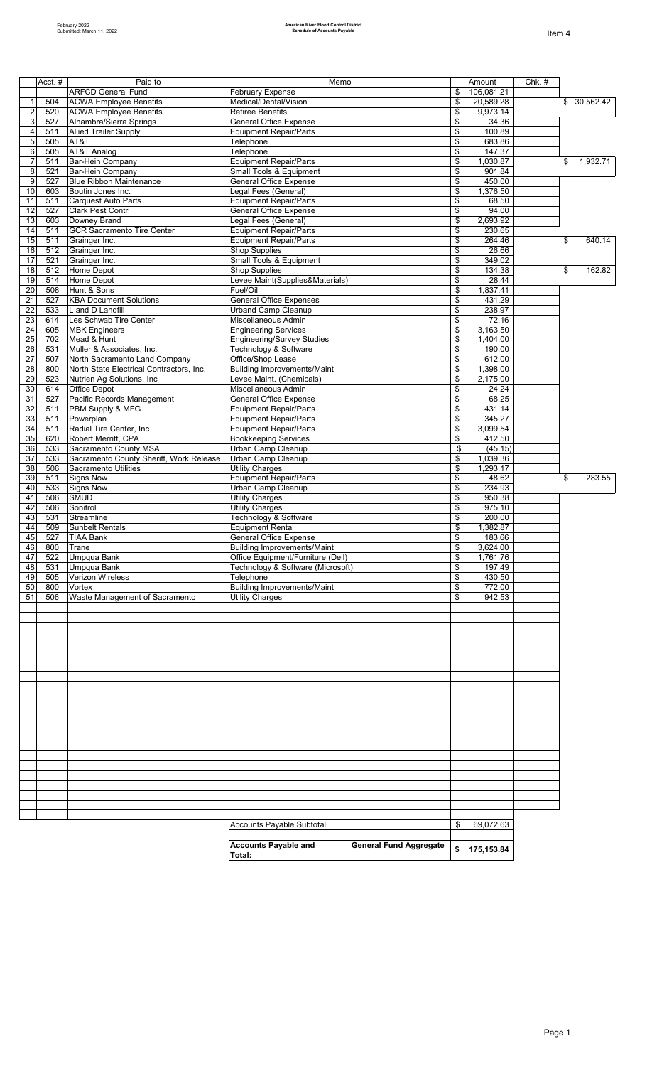|                     | Acct. $#$  | Paid to                                                        | Memo                                                                   | Amount                           | $Chk.$ # |                |
|---------------------|------------|----------------------------------------------------------------|------------------------------------------------------------------------|----------------------------------|----------|----------------|
|                     |            | <b>ARFCD General Fund</b>                                      | <b>February Expense</b><br>Medical/Dental/Vision                       | \$<br>106,081.21<br>20,589.28    |          |                |
| 1<br>$\overline{c}$ | 504<br>520 | <b>ACWA Employee Benefits</b><br><b>ACWA Employee Benefits</b> | <b>Retiree Benefits</b>                                                | \$<br>\$<br>9,973.14             |          | \$ 30,562.42   |
| 3                   | 527        | Alhambra/Sierra Springs                                        | <b>General Office Expense</b>                                          | \$<br>34.36                      |          |                |
| $\overline{4}$      | 511        | <b>Allied Trailer Supply</b>                                   | <b>Equipment Repair/Parts</b>                                          | 100.89<br>\$                     |          |                |
| 5                   | 505        | AT&T                                                           | Telephone                                                              | \$<br>683.86                     |          |                |
| 6                   | 505        | AT&T Analog                                                    | Telephone                                                              | \$<br>147.37                     |          |                |
| $\overline{7}$      | 511        | <b>Bar-Hein Company</b>                                        | <b>Equipment Repair/Parts</b>                                          | \$<br>1,030.87                   |          | \$<br>1,932.71 |
| 8<br>9              | 521<br>527 | Bar-Hein Company<br><b>Blue Ribbon Maintenance</b>             | Small Tools & Equipment<br><b>General Office Expense</b>               | \$<br>901.84<br>\$<br>450.00     |          |                |
| 10                  | 603        | Boutin Jones Inc.                                              | Legal Fees (General)                                                   | \$<br>1,376.50                   |          |                |
| 11                  | 511        | <b>Carquest Auto Parts</b>                                     | <b>Equipment Repair/Parts</b>                                          | \$<br>68.50                      |          |                |
| 12                  | 527        | <b>Clark Pest Contrl</b>                                       | <b>General Office Expense</b>                                          | \$<br>94.00                      |          |                |
| 13                  | 603        | Downey Brand                                                   | Legal Fees (General)                                                   | \$<br>2,693.92                   |          |                |
| 14                  | 511        | <b>GCR Sacramento Tire Center</b>                              | <b>Equipment Repair/Parts</b>                                          | \$<br>230.65                     |          |                |
| 15<br>16            | 511<br>512 | Grainger Inc.<br>Grainger Inc.                                 | <b>Equipment Repair/Parts</b><br><b>Shop Supplies</b>                  | \$<br>264.46<br>\$<br>26.66      |          | \$<br>640.14   |
| 17                  | 521        | Grainger Inc.                                                  | Small Tools & Equipment                                                | 349.02<br>\$                     |          |                |
| 18                  | 512        | Home Depot                                                     | <b>Shop Supplies</b>                                                   | \$<br>134.38                     |          | \$<br>162.82   |
| 19                  | 514        | Home Depot                                                     | Levee Maint(Supplies&Materials)                                        | \$<br>28.44                      |          |                |
| 20                  | 508        | Hunt & Sons                                                    | Fuel/Oil                                                               | 1,837.41<br>\$                   |          |                |
| 21                  | 527        | <b>KBA Document Solutions</b>                                  | <b>General Office Expenses</b>                                         | \$<br>431.29                     |          |                |
| 22                  | 533        | L and D Landfill                                               | Urband Camp Cleanup                                                    | \$<br>238.97                     |          |                |
| 23<br>24            | 614<br>605 | Les Schwab Tire Center<br><b>MBK Engineers</b>                 | Miscellaneous Admin<br><b>Engineering Services</b>                     | \$<br>72.16<br>\$<br>3,163.50    |          |                |
| $\overline{25}$     | 702        | Mead & Hunt                                                    | <b>Engineering/Survey Studies</b>                                      | \$<br>1,404.00                   |          |                |
| 26                  | 531        | Muller & Associates, Inc.                                      | Technology & Software                                                  | \$<br>190.00                     |          |                |
| 27                  | 507        | North Sacramento Land Company                                  | Office/Shop Lease                                                      | \$<br>612.00                     |          |                |
| 28                  | 800        | North State Electrical Contractors, Inc.                       | <b>Building Improvements/Maint</b>                                     | \$<br>1,398.00                   |          |                |
| 29                  | 523        | Nutrien Ag Solutions, Inc.                                     | Levee Maint. (Chemicals)                                               | \$<br>2,175.00                   |          |                |
| 30                  | 614        | Office Depot                                                   | Miscellaneous Admin                                                    | \$<br>24.24                      |          |                |
| 31<br>32            | 527<br>511 | Pacific Records Management<br>PBM Supply & MFG                 | <b>General Office Expense</b><br><b>Equipment Repair/Parts</b>         | \$<br>68.25<br>\$<br>431.14      |          |                |
| 33                  | 511        | Powerplan                                                      | <b>Equipment Repair/Parts</b>                                          | 345.27<br>\$                     |          |                |
| 34                  | 511        | Radial Tire Center, Inc                                        | <b>Equipment Repair/Parts</b>                                          | \$<br>3,099.54                   |          |                |
| 35                  | 620        | Robert Merritt, CPA                                            | <b>Bookkeeping Services</b>                                            | \$<br>412.50                     |          |                |
| 36                  | 533        | Sacramento County MSA                                          | Urban Camp Cleanup                                                     | \$<br>(45.15)                    |          |                |
| 37                  | 533        | Sacramento County Sheriff, Work Release                        | Urban Camp Cleanup                                                     | \$<br>1,039.36                   |          |                |
| 38<br>39            | 506<br>511 | <b>Sacramento Utilities</b><br><b>Signs Now</b>                | <b>Utility Charges</b><br><b>Equipment Repair/Parts</b>                | \$<br>1,293.17<br>\$<br>48.62    |          | \$<br>283.55   |
| 40                  | 533        | <b>Signs Now</b>                                               | Urban Camp Cleanup                                                     | \$<br>234.93                     |          |                |
| 41                  | 506        | <b>SMUD</b>                                                    | <b>Utility Charges</b>                                                 | \$<br>950.38                     |          |                |
| 42                  | 506        | Sonitrol                                                       | <b>Utility Charges</b>                                                 | \$<br>975.10                     |          |                |
| 43                  | 531        | Streamline                                                     | Technology & Software                                                  | \$<br>200.00                     |          |                |
| 44                  | 509        | <b>Sunbelt Rentals</b>                                         | <b>Equipment Rental</b>                                                | \$<br>1,382.87                   |          |                |
| 45                  | 527        | <b>TIAA Bank</b>                                               | General Office Expense                                                 | \$<br>183.66                     |          |                |
| 46<br>47            | 800<br>522 | Trane<br>Umpqua Bank                                           | Building Improvements/Maint<br>Office Equipment/Furniture (Dell)       | \$<br>3,624.00<br>\$<br>1,761.76 |          |                |
| 48                  | 531        | Umpgua Bank                                                    | Technology & Software (Microsoft)                                      | \$<br>197.49                     |          |                |
| 49                  | 505        | Verizon Wireless                                               | Telephone                                                              | 430.50<br>\$                     |          |                |
| 50                  | 800        | Vortex                                                         | <b>Building Improvements/Maint</b>                                     | 772.00<br>\$                     |          |                |
| 51                  | 506        | Waste Management of Sacramento                                 | <b>Utility Charges</b>                                                 | 942.53<br>\$                     |          |                |
|                     |            |                                                                |                                                                        |                                  |          |                |
|                     |            |                                                                |                                                                        |                                  |          |                |
|                     |            |                                                                |                                                                        |                                  |          |                |
|                     |            |                                                                |                                                                        |                                  |          |                |
|                     |            |                                                                |                                                                        |                                  |          |                |
|                     |            |                                                                |                                                                        |                                  |          |                |
|                     |            |                                                                |                                                                        |                                  |          |                |
|                     |            |                                                                |                                                                        |                                  |          |                |
|                     |            |                                                                |                                                                        |                                  |          |                |
|                     |            |                                                                |                                                                        |                                  |          |                |
|                     |            |                                                                |                                                                        |                                  |          |                |
|                     |            |                                                                |                                                                        |                                  |          |                |
|                     |            |                                                                |                                                                        |                                  |          |                |
|                     |            |                                                                |                                                                        |                                  |          |                |
|                     |            |                                                                |                                                                        |                                  |          |                |
|                     |            |                                                                |                                                                        |                                  |          |                |
|                     |            |                                                                |                                                                        |                                  |          |                |
|                     |            |                                                                |                                                                        |                                  |          |                |
|                     |            |                                                                | Accounts Payable Subtotal                                              | 69,072.63<br>\$                  |          |                |
|                     |            |                                                                |                                                                        |                                  |          |                |
|                     |            |                                                                | <b>Accounts Payable and</b><br><b>General Fund Aggregate</b><br>Total: | \$ 175,153.84                    |          |                |